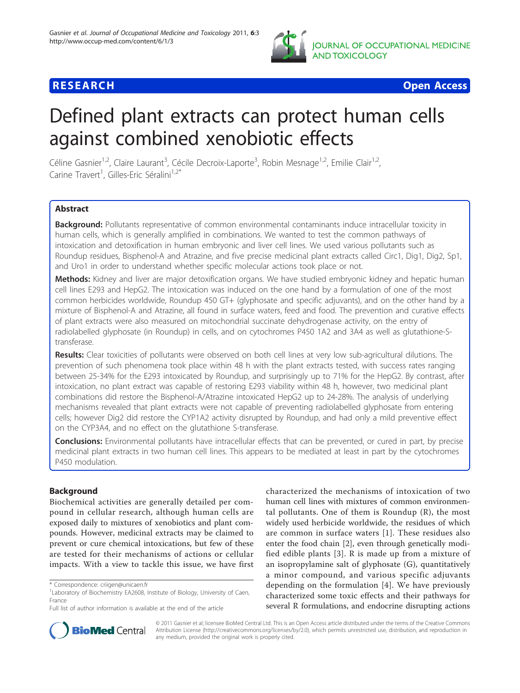

**RESEARCH CONTROL** CONTROL CONTROL CONTROL CONTROL CONTROL CONTROL CONTROL CONTROL CONTROL CONTROL CONTROL CONTROL

# Defined plant extracts can protect human cells against combined xenobiotic effects

Céline Gasnier<sup>1,2</sup>, Claire Laurant<sup>3</sup>, Cécile Decroix-Laporte<sup>3</sup>, Robin Mesnage<sup>1,2</sup>, Emilie Clair<sup>1,2</sup>, Carine Travert<sup>1</sup>, Gilles-Eric Séralini<sup>1,2\*</sup>

# Abstract

Background: Pollutants representative of common environmental contaminants induce intracellular toxicity in human cells, which is generally amplified in combinations. We wanted to test the common pathways of intoxication and detoxification in human embryonic and liver cell lines. We used various pollutants such as Roundup residues, Bisphenol-A and Atrazine, and five precise medicinal plant extracts called Circ1, Dig1, Dig2, Sp1, and Uro1 in order to understand whether specific molecular actions took place or not.

Methods: Kidney and liver are major detoxification organs. We have studied embryonic kidney and hepatic human cell lines E293 and HepG2. The intoxication was induced on the one hand by a formulation of one of the most common herbicides worldwide, Roundup 450 GT+ (glyphosate and specific adjuvants), and on the other hand by a mixture of Bisphenol-A and Atrazine, all found in surface waters, feed and food. The prevention and curative effects of plant extracts were also measured on mitochondrial succinate dehydrogenase activity, on the entry of radiolabelled glyphosate (in Roundup) in cells, and on cytochromes P450 1A2 and 3A4 as well as glutathione-Stransferase.

Results: Clear toxicities of pollutants were observed on both cell lines at very low sub-agricultural dilutions. The prevention of such phenomena took place within 48 h with the plant extracts tested, with success rates ranging between 25-34% for the E293 intoxicated by Roundup, and surprisingly up to 71% for the HepG2. By contrast, after intoxication, no plant extract was capable of restoring E293 viability within 48 h, however, two medicinal plant combinations did restore the Bisphenol-A/Atrazine intoxicated HepG2 up to 24-28%. The analysis of underlying mechanisms revealed that plant extracts were not capable of preventing radiolabelled glyphosate from entering cells; however Dig2 did restore the CYP1A2 activity disrupted by Roundup, and had only a mild preventive effect on the CYP3A4, and no effect on the glutathione S-transferase.

Conclusions: Environmental pollutants have intracellular effects that can be prevented, or cured in part, by precise medicinal plant extracts in two human cell lines. This appears to be mediated at least in part by the cytochromes P450 modulation.

# Background

Biochemical activities are generally detailed per compound in cellular research, although human cells are exposed daily to mixtures of xenobiotics and plant compounds. However, medicinal extracts may be claimed to prevent or cure chemical intoxications, but few of these are tested for their mechanisms of actions or cellular impacts. With a view to tackle this issue, we have first

characterized the mechanisms of intoxication of two human cell lines with mixtures of common environmental pollutants. One of them is Roundup (R), the most widely used herbicide worldwide, the residues of which are common in surface waters [\[1](#page-8-0)]. These residues also enter the food chain [[2\]](#page-8-0), even through genetically modified edible plants [[3\]](#page-8-0). R is made up from a mixture of an isopropylamine salt of glyphosate (G), quantitatively a minor compound, and various specific adjuvants depending on the formulation [[4\]](#page-8-0). We have previously characterized some toxic effects and their pathways for several R formulations, and endocrine disrupting actions



© 2011 Gasnier et al; licensee BioMed Central Ltd. This is an Open Access article distributed under the terms of the Creative Commons Attribution License [\(http://creativecommons.org/licenses/by/2.0](http://creativecommons.org/licenses/by/2.0)), which permits unrestricted use, distribution, and reproduction in any medium, provided the original work is properly cited.

<sup>\*</sup> Correspondence: [criigen@unicaen.fr](mailto:criigen@unicaen.fr)

<sup>&</sup>lt;sup>1</sup> Laboratory of Biochemistry EA2608, Institute of Biology, University of Caen, France

Full list of author information is available at the end of the article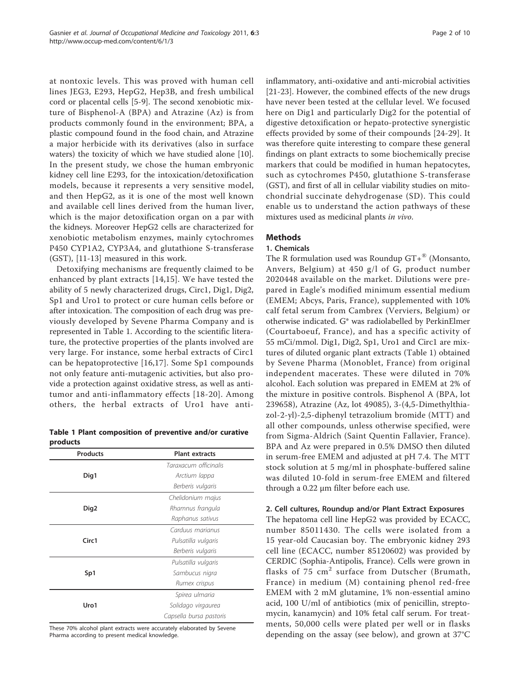<span id="page-1-0"></span>at nontoxic levels. This was proved with human cell lines JEG3, E293, HepG2, Hep3B, and fresh umbilical cord or placental cells [\[5](#page-8-0)-[9\]](#page-8-0). The second xenobiotic mixture of Bisphenol-A (BPA) and Atrazine (Az) is from products commonly found in the environment; BPA, a plastic compound found in the food chain, and Atrazine a major herbicide with its derivatives (also in surface waters) the toxicity of which we have studied alone [\[10](#page-8-0)]. In the present study, we chose the human embryonic kidney cell line E293, for the intoxication/detoxification models, because it represents a very sensitive model, and then HepG2, as it is one of the most well known and available cell lines derived from the human liver, which is the major detoxification organ on a par with the kidneys. Moreover HepG2 cells are characterized for xenobiotic metabolism enzymes, mainly cytochromes P450 CYP1A2, CYP3A4, and glutathione S-transferase (GST), [\[11-13](#page-8-0)] measured in this work.

Detoxifying mechanisms are frequently claimed to be enhanced by plant extracts [[14,15](#page-8-0)]. We have tested the ability of 5 newly characterized drugs, Circ1, Dig1, Dig2, Sp1 and Uro1 to protect or cure human cells before or after intoxication. The composition of each drug was previously developed by Sevene Pharma Company and is represented in Table 1. According to the scientific literature, the protective properties of the plants involved are very large. For instance, some herbal extracts of Circ1 can be hepatoprotective [[16,17\]](#page-8-0). Some Sp1 compounds not only feature anti-mutagenic activities, but also provide a protection against oxidative stress, as well as antitumor and anti-inflammatory effects [[18](#page-8-0)-[20\]](#page-8-0). Among others, the herbal extracts of Uro1 have anti-

Table 1 Plant composition of preventive and/or curative products

| <b>Products</b>   | <b>Plant extracts</b>   |
|-------------------|-------------------------|
|                   | Taraxacum officinalis   |
| Dig1              | Arctium lappa           |
|                   | Berberis vulgaris       |
| Dig <sub>2</sub>  | Chelidonium majus       |
|                   | Rhamnus frangula        |
|                   | Raphanus sativus        |
| Circ <sub>1</sub> | Carduus marianus        |
|                   | Pulsatilla vulgaris     |
|                   | Berberis vulgaris       |
| Sp1               | Pulsatilla vulgaris     |
|                   | Sambucus nigra          |
|                   | Rumex crispus           |
| Uro1              | Spirea ulmaria          |
|                   | Solidago virgaurea      |
|                   | Capsella bursa pastoris |

These 70% alcohol plant extracts were accurately elaborated by Sevene Pharma according to present medical knowledge.

inflammatory, anti-oxidative and anti-microbial activities [[21-23](#page-8-0)]. However, the combined effects of the new drugs have never been tested at the cellular level. We focused here on Dig1 and particularly Dig2 for the potential of digestive detoxification or hepato-protective synergistic effects provided by some of their compounds [[24-29\]](#page-8-0). It was therefore quite interesting to compare these general findings on plant extracts to some biochemically precise markers that could be modified in human hepatocytes, such as cytochromes P450, glutathione S-transferase (GST), and first of all in cellular viability studies on mitochondrial succinate dehydrogenase (SD). This could enable us to understand the action pathways of these mixtures used as medicinal plants in vivo.

# Methods

# 1. Chemicals

The R formulation used was Roundup  $GT+^{\circledR}$  (Monsanto, Anvers, Belgium) at 450 g/l of G, product number 2020448 available on the market. Dilutions were prepared in Eagle's modified minimum essential medium (EMEM; Abcys, Paris, France), supplemented with 10% calf fetal serum from Cambrex (Verviers, Belgium) or otherwise indicated. G\* was radiolabelled by PerkinElmer (Courtaboeuf, France), and has a specific activity of 55 mCi/mmol. Dig1, Dig2, Sp1, Uro1 and Circ1 are mixtures of diluted organic plant extracts (Table 1) obtained by Sevene Pharma (Monoblet, France) from original independent macerates. These were diluted in 70% alcohol. Each solution was prepared in EMEM at 2% of the mixture in positive controls. Bisphenol A (BPA, lot 239658), Atrazine (Az, lot 49085), 3-(4,5-Dimethylthiazol-2-yl)-2,5-diphenyl tetrazolium bromide (MTT) and all other compounds, unless otherwise specified, were from Sigma-Aldrich (Saint Quentin Fallavier, France). BPA and Az were prepared in 0.5% DMSO then diluted in serum-free EMEM and adjusted at pH 7.4. The MTT stock solution at 5 mg/ml in phosphate-buffered saline was diluted 10-fold in serum-free EMEM and filtered through a 0.22 μm filter before each use.

# 2. Cell cultures, Roundup and/or Plant Extract Exposures

The hepatoma cell line HepG2 was provided by ECACC, number 85011430. The cells were isolated from a 15 year-old Caucasian boy. The embryonic kidney 293 cell line (ECACC, number 85120602) was provided by CERDIC (Sophia-Antipolis, France). Cells were grown in flasks of 75 cm<sup>2</sup> surface from Dutscher (Brumath, France) in medium (M) containing phenol red-free EMEM with 2 mM glutamine, 1% non-essential amino acid, 100 U/ml of antibiotics (mix of penicillin, streptomycin, kanamycin) and 10% fetal calf serum. For treatments, 50,000 cells were plated per well or in flasks depending on the assay (see below), and grown at 37°C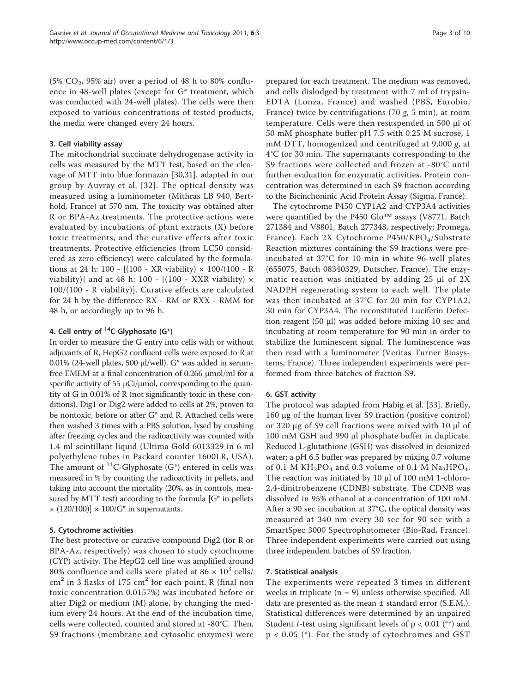(5%  $CO<sub>2</sub>$ , 95% air) over a period of 48 h to 80% confluence in 48-well plates (except for G\* treatment, which was conducted with 24-well plates). The cells were then exposed to various concentrations of tested products, the media were changed every 24 hours.

#### 3. Cell viability assay

The mitochondrial succinate dehydrogenase activity in cells was measured by the MTT test, based on the cleavage of MTT into blue formazan [[30](#page-9-0),[31](#page-9-0)], adapted in our group by Auvray et al. [[32](#page-9-0)]. The optical density was measured using a luminometer (Mithras LB 940, Berthold, France) at 570 nm. The toxicity was obtained after R or BPA-Az treatments. The protective actions were evaluated by incubations of plant extracts (X) before toxic treatments, and the curative effects after toxic treatments. Protective efficiencies (from LC50 considered as zero efficiency) were calculated by the formulations at 24 h: 100 -  $[(100 - XR \, viability) \times 100/(100 - R)$ viability)] and at 48 h: 100 -  $[(100 - XXX\; viability) \times$ 100/(100 - R viability)]. Curative effects are calculated for 24 h by the difference RX - RM or RXX - RMM for 48 h, or accordingly up to 96 h.

#### 4. Cell entry of  $^{14}$ C-Glyphosate (G\*)

In order to measure the G entry into cells with or without adjuvants of R, HepG2 confluent cells were exposed to R at 0.01% (24-well plates, 500 μl/well). G\* was added in serumfree EMEM at a final concentration of 0.266 μmol/ml for a specific activity of 55  $\mu$ Ci/ $\mu$ mol, corresponding to the quantity of G in 0.01% of R (not significantly toxic in these conditions). Dig1 or Dig2 were added to cells at 2%, proven to be nontoxic, before or after G\* and R. Attached cells were then washed 3 times with a PBS solution, lysed by crushing after freezing cycles and the radioactivity was counted with 1.4 ml scintillant liquid (Ultima Gold 6013329 in 6 ml polyethylene tubes in Packard counter 1600LR, USA). The amount of  ${}^{14}C$ -Glyphosate (G\*) entered in cells was measured in % by counting the radioactivity in pellets, and taking into account the mortality (20%, as in controls, measured by MTT test) according to the formula  $[G^*]$  in pellets  $\times$  (120/100)]  $\times$  100/G<sup>\*</sup> in supernatants.

#### 5. Cytochrome activities

The best protective or curative compound Dig2 (for R or BPA-Az, respectively) was chosen to study cytochrome (CYP) activity. The HepG2 cell line was amplified around 80% confluence and cells were plated at 86  $\times$  10<sup>3</sup> cells/  $\text{cm}^2$  in 3 flasks of 175 cm<sup>2</sup> for each point. R (final non toxic concentration 0.0157%) was incubated before or after Dig2 or medium (M) alone, by changing the medium every 24 hours. At the end of the incubation time, cells were collected, counted and stored at -80°C. Then, S9 fractions (membrane and cytosolic enzymes) were

prepared for each treatment. The medium was removed, and cells dislodged by treatment with 7 ml of trypsin-EDTA (Lonza, France) and washed (PBS, Eurobio, France) twice by centrifugations (70  $g$ , 5 min), at room temperature. Cells were then resuspended in 500 μl of 50 mM phosphate buffer pH 7.5 with 0.25 M sucrose, 1 mM DTT, homogenized and centrifuged at 9,000 g, at 4°C for 30 min. The supernatants corresponding to the S9 fractions were collected and frozen at -80°C until further evaluation for enzymatic activities. Protein concentration was determined in each S9 fraction according to the Bicinchoninic Acid Protein Assay (Sigma, France).

The cytochrome P450 CYP1A2 and CYP3A4 activities were quantified by the P450 Glo™ assays (V8771, Batch 271384 and V8801, Batch 277348, respectively; Promega, France). Each 2X Cytochrome P450/KPO<sub>4</sub>/Substrate Reaction mixtures containing the S9 fractions were preincubated at 37°C for 10 min in white 96-well plates (655075, Batch 08340329, Dutscher, France). The enzymatic reaction was initiated by adding 25 μl of 2X NADPH regenerating system to each well. The plate was then incubated at 37°C for 20 min for CYP1A2; 30 min for CYP3A4. The reconstituted Luciferin Detection reagent (50 μl) was added before mixing 10 sec and incubating at room temperature for 90 min in order to stabilize the luminescent signal. The luminescence was then read with a luminometer (Veritas Turner Biosystems, France). Three independent experiments were performed from three batches of fraction S9.

#### 6. GST activity

The protocol was adapted from Habig et al. [\[33](#page-9-0)]. Briefly, 160 μg of the human liver S9 fraction (positive control) or 320 μg of S9 cell fractions were mixed with 10 μl of 100 mM GSH and 990 μl phosphate buffer in duplicate. Reduced L-glutathione (GSH) was dissolved in deionized water; a pH 6.5 buffer was prepared by mixing 0.7 volume of 0.1 M  $KH_2PO_4$  and 0.3 volume of 0.1 M  $Na_2HPO_4$ . The reaction was initiated by 10 μl of 100 mM 1-chloro-2,4-dinitrobenzene (CDNB) substrate. The CDNB was dissolved in 95% ethanol at a concentration of 100 mM. After a 90 sec incubation at 37°C, the optical density was measured at 340 nm every 30 sec for 90 sec with a SmartSpec 3000 Spectrophotometer (Bio-Rad, France). Three independent experiments were carried out using three independent batches of S9 fraction.

#### 7. Statistical analysis

The experiments were repeated 3 times in different weeks in triplicate ( $n = 9$ ) unless otherwise specified. All data are presented as the mean  $\pm$  standard error (S.E.M.). Statistical differences were determined by an unpaired Student *t*-test using significant levels of  $p < 0.01$  (\*\*) and p < 0.05 (\*). For the study of cytochromes and GST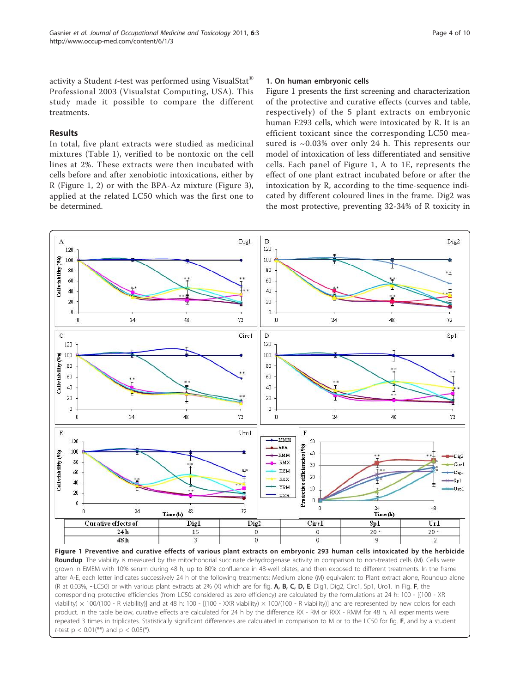<span id="page-3-0"></span>activity a Student *t*-test was performed using VisualStat<sup>®</sup> Professional 2003 (Visualstat Computing, USA). This study made it possible to compare the different treatments.

# Results

In total, five plant extracts were studied as medicinal mixtures (Table [1\)](#page-1-0), verified to be nontoxic on the cell lines at 2%. These extracts were then incubated with cells before and after xenobiotic intoxications, either by R (Figure 1, [2](#page-4-0)) or with the BPA-Az mixture (Figure [3](#page-4-0)), applied at the related LC50 which was the first one to be determined.

#### 1. On human embryonic cells

Figure 1 presents the first screening and characterization of the protective and curative effects (curves and table, respectively) of the 5 plant extracts on embryonic human E293 cells, which were intoxicated by R. It is an efficient toxicant since the corresponding LC50 measured is  $\sim 0.03\%$  over only 24 h. This represents our model of intoxication of less differentiated and sensitive cells. Each panel of Figure 1, A to 1E, represents the effect of one plant extract incubated before or after the intoxication by R, according to the time-sequence indicated by different coloured lines in the frame. Dig2 was the most protective, preventing 32-34% of R toxicity in



(R at 0.03%,  $\sim$ LC50) or with various plant extracts at 2% (X) which are for fig. A, B, C, D, E: Dig1, Dig2, Circ1, Sp1, Uro1. In Fig. F, the corresponding protective efficiencies (from LC50 considered as zero efficiency) are calculated by the formulations at 24 h: 100 - [(100 - XR viability)  $\times$  100/(100 - R viability)] and at 48 h: 100 - [(100 - XXR viability)  $\times$  100/(100 - R viability)] and are represented by new colors for each product. In the table below, curative effects are calculated for 24 h by the difference RX - RM or RXX - RMM for 48 h. All experiments were repeated 3 times in triplicates. Statistically significant differences are calculated in comparison to M or to the LC50 for fig. F, and by a student t-test  $p < 0.01$ <sup>\*\*</sup>) and  $p < 0.05$ <sup>\*</sup>).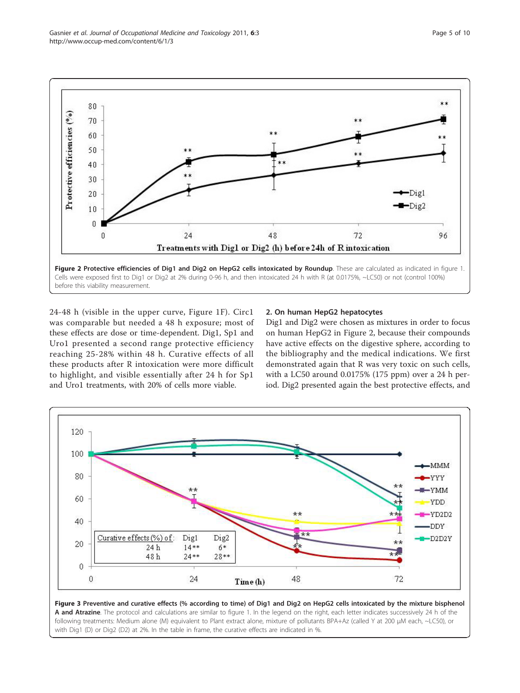<span id="page-4-0"></span>Gasnier et al. Journal of Occupational Medicine and Toxicology 2011, 6:3 http://www.occup-med.com/content/6/1/3



24-48 h (visible in the upper curve, Figure [1F\)](#page-3-0). Circ1 was comparable but needed a 48 h exposure; most of these effects are dose or time-dependent. Dig1, Sp1 and Uro1 presented a second range protective efficiency reaching 25-28% within 48 h. Curative effects of all these products after R intoxication were more difficult to highlight, and visible essentially after 24 h for Sp1 and Uro1 treatments, with 20% of cells more viable.

#### 2. On human HepG2 hepatocytes

Dig1 and Dig2 were chosen as mixtures in order to focus on human HepG2 in Figure 2, because their compounds have active effects on the digestive sphere, according to the bibliography and the medical indications. We first demonstrated again that R was very toxic on such cells, with a LC50 around 0.0175% (175 ppm) over a 24 h period. Dig2 presented again the best protective effects, and



Figure 3 Preventive and curative effects (% according to time) of Dig1 and Dig2 on HepG2 cells intoxicated by the mixture bisphenol A and Atrazine. The protocol and calculations are similar to figure [1](#page-3-0). In the legend on the right, each letter indicates successively 24 h of the following treatments: Medium alone (M) equivalent to Plant extract alone, mixture of pollutants BPA+Az (called Y at 200 μM each, ~LC50), or with Dig1 (D) or Dig2 (D2) at 2%. In the table in frame, the curative effects are indicated in %.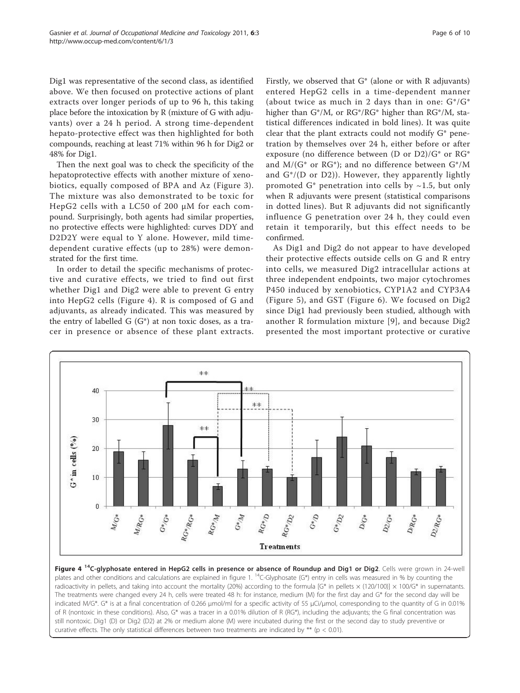Dig1 was representative of the second class, as identified above. We then focused on protective actions of plant extracts over longer periods of up to 96 h, this taking place before the intoxication by R (mixture of G with adjuvants) over a 24 h period. A strong time-dependent hepato-protective effect was then highlighted for both compounds, reaching at least 71% within 96 h for Dig2 or 48% for Dig1.

Then the next goal was to check the specificity of the hepatoprotective effects with another mixture of xenobiotics, equally composed of BPA and Az (Figure [3\)](#page-4-0). The mixture was also demonstrated to be toxic for HepG2 cells with a LC50 of 200 μM for each compound. Surprisingly, both agents had similar properties, no protective effects were highlighted: curves DDY and D2D2Y were equal to Y alone. However, mild timedependent curative effects (up to 28%) were demonstrated for the first time.

In order to detail the specific mechanisms of protective and curative effects, we tried to find out first whether Dig1 and Dig2 were able to prevent G entry into HepG2 cells (Figure 4). R is composed of G and adjuvants, as already indicated. This was measured by the entry of labelled  $G(G^*)$  at non toxic doses, as a tracer in presence or absence of these plant extracts. Firstly, we observed that G\* (alone or with R adjuvants) entered HepG2 cells in a time-dependent manner (about twice as much in 2 days than in one:  $G^*/G^*$ higher than G\*/M, or RG\*/RG\* higher than RG\*/M, statistical differences indicated in bold lines). It was quite clear that the plant extracts could not modify G\* penetration by themselves over 24 h, either before or after exposure (no difference between (D or D2)/G\* or RG\* and  $M/(G^*$  or  $RG^*$ ); and no difference between  $G^*/M$ and  $G^*/(D \text{ or } D2)$ ). However, they apparently lightly promoted G\* penetration into cells by  $\sim$ 1.5, but only when R adjuvants were present (statistical comparisons in dotted lines). But R adjuvants did not significantly influence G penetration over 24 h, they could even retain it temporarily, but this effect needs to be confirmed.

As Dig1 and Dig2 do not appear to have developed their protective effects outside cells on G and R entry into cells, we measured Dig2 intracellular actions at three independent endpoints, two major cytochromes P450 induced by xenobiotics, CYP1A2 and CYP3A4 (Figure [5](#page-6-0)), and GST (Figure [6](#page-6-0)). We focused on Dig2 since Dig1 had previously been studied, although with another R formulation mixture [[9](#page-8-0)], and because Dig2 presented the most important protective or curative



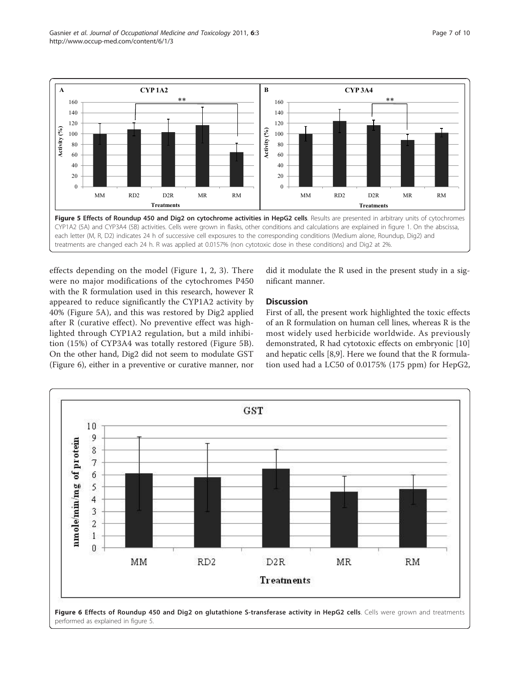<span id="page-6-0"></span>

effects depending on the model (Figure [1,](#page-3-0) [2](#page-4-0), [3](#page-4-0)). There were no major modifications of the cytochromes P450 with the R formulation used in this research, however R appeared to reduce significantly the CYP1A2 activity by 40% (Figure 5A), and this was restored by Dig2 applied after R (curative effect). No preventive effect was highlighted through CYP1A2 regulation, but a mild inhibition (15%) of CYP3A4 was totally restored (Figure 5B). On the other hand, Dig2 did not seem to modulate GST (Figure 6), either in a preventive or curative manner, nor

did it modulate the R used in the present study in a significant manner.

# **Discussion**

First of all, the present work highlighted the toxic effects of an R formulation on human cell lines, whereas R is the most widely used herbicide worldwide. As previously demonstrated, R had cytotoxic effects on embryonic [[10](#page-8-0)] and hepatic cells [[8](#page-8-0),[9](#page-8-0)]. Here we found that the R formulation used had a LC50 of 0.0175% (175 ppm) for HepG2,

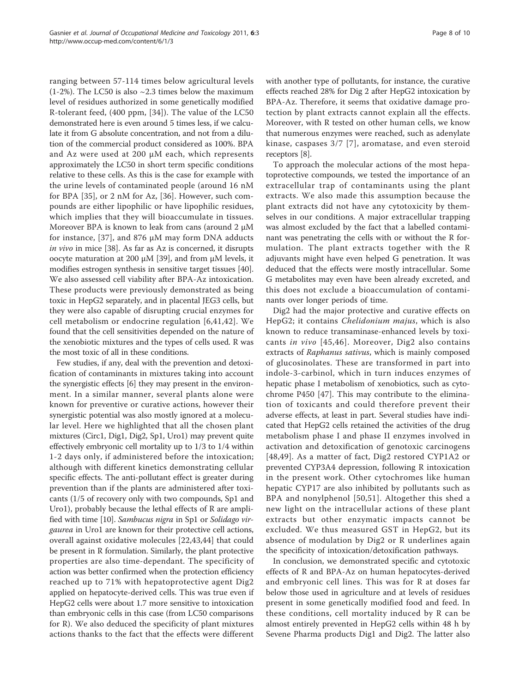ranging between 57-114 times below agricultural levels  $(1-2\%)$ . The LC50 is also  $\sim$ 2.3 times below the maximum level of residues authorized in some genetically modified R-tolerant feed, (400 ppm, [\[34](#page-9-0)]). The value of the LC50 demonstrated here is even around 5 times less, if we calculate it from G absolute concentration, and not from a dilution of the commercial product considered as 100%. BPA and Az were used at 200 μM each, which represents approximately the LC50 in short term specific conditions relative to these cells. As this is the case for example with the urine levels of contaminated people (around 16 nM for BPA [\[35](#page-9-0)], or 2 nM for Az, [[36](#page-9-0)]. However, such compounds are either lipophilic or have lipophilic residues, which implies that they will bioaccumulate in tissues. Moreover BPA is known to leak from cans (around 2 μM for instance, [\[37\]](#page-9-0), and 876 μM may form DNA adducts in vivo in mice [[38\]](#page-9-0). As far as Az is concerned, it disrupts oocyte maturation at 200 μM [\[39](#page-9-0)], and from μM levels, it modifies estrogen synthesis in sensitive target tissues [[40](#page-9-0)]. We also assessed cell viability after BPA-Az intoxication. These products were previously demonstrated as being toxic in HepG2 separately, and in placental JEG3 cells, but they were also capable of disrupting crucial enzymes for cell metabolism or endocrine regulation [[6,](#page-8-0)[41](#page-9-0),[42\]](#page-9-0). We found that the cell sensitivities depended on the nature of the xenobiotic mixtures and the types of cells used. R was the most toxic of all in these conditions.

Few studies, if any, deal with the prevention and detoxification of contaminants in mixtures taking into account the synergistic effects [\[6](#page-8-0)] they may present in the environment. In a similar manner, several plants alone were known for preventive or curative actions, however their synergistic potential was also mostly ignored at a molecular level. Here we highlighted that all the chosen plant mixtures (Circ1, Dig1, Dig2, Sp1, Uro1) may prevent quite effectively embryonic cell mortality up to 1/3 to 1/4 within 1-2 days only, if administered before the intoxication; although with different kinetics demonstrating cellular specific effects. The anti-pollutant effect is greater during prevention than if the plants are administered after toxicants (1/5 of recovery only with two compounds, Sp1 and Uro1), probably because the lethal effects of R are amplified with time [[10](#page-8-0)]. Sambucus nigra in Sp1 or Solidago virgaurea in Uro1 are known for their protective cell actions, overall against oxidative molecules [[22,](#page-8-0)[43,44](#page-9-0)] that could be present in R formulation. Similarly, the plant protective properties are also time-dependant. The specificity of action was better confirmed when the protection efficiency reached up to 71% with hepatoprotective agent Dig2 applied on hepatocyte-derived cells. This was true even if HepG2 cells were about 1.7 more sensitive to intoxication than embryonic cells in this case (from LC50 comparisons for R). We also deduced the specificity of plant mixtures actions thanks to the fact that the effects were different with another type of pollutants, for instance, the curative effects reached 28% for Dig 2 after HepG2 intoxication by BPA-Az. Therefore, it seems that oxidative damage protection by plant extracts cannot explain all the effects. Moreover, with R tested on other human cells, we know that numerous enzymes were reached, such as adenylate kinase, caspases 3/7 [[7](#page-8-0)], aromatase, and even steroid receptors [\[8](#page-8-0)].

To approach the molecular actions of the most hepatoprotective compounds, we tested the importance of an extracellular trap of contaminants using the plant extracts. We also made this assumption because the plant extracts did not have any cytotoxicity by themselves in our conditions. A major extracellular trapping was almost excluded by the fact that a labelled contaminant was penetrating the cells with or without the R formulation. The plant extracts together with the R adjuvants might have even helped G penetration. It was deduced that the effects were mostly intracellular. Some G metabolites may even have been already excreted, and this does not exclude a bioaccumulation of contaminants over longer periods of time.

Dig2 had the major protective and curative effects on HepG2; it contains *Chelidonium majus*, which is also known to reduce transaminase-enhanced levels by toxicants in vivo [[45](#page-9-0),[46](#page-9-0)]. Moreover, Dig2 also contains extracts of Raphanus sativus, which is mainly composed of glucosinolates. These are transformed in part into indole-3-carbinol, which in turn induces enzymes of hepatic phase I metabolism of xenobiotics, such as cytochrome P450 [\[47](#page-9-0)]. This may contribute to the elimination of toxicants and could therefore prevent their adverse effects, at least in part. Several studies have indicated that HepG2 cells retained the activities of the drug metabolism phase I and phase II enzymes involved in activation and detoxification of genotoxic carcinogens [[48](#page-9-0),[49\]](#page-9-0). As a matter of fact, Dig2 restored CYP1A2 or prevented CYP3A4 depression, following R intoxication in the present work. Other cytochromes like human hepatic CYP17 are also inhibited by pollutants such as BPA and nonylphenol [[50,51\]](#page-9-0). Altogether this shed a new light on the intracellular actions of these plant extracts but other enzymatic impacts cannot be excluded. We thus measured GST in HepG2, but its absence of modulation by Dig2 or R underlines again the specificity of intoxication/detoxification pathways.

In conclusion, we demonstrated specific and cytotoxic effects of R and BPA-Az on human hepatocytes-derived and embryonic cell lines. This was for R at doses far below those used in agriculture and at levels of residues present in some genetically modified food and feed. In these conditions, cell mortality induced by R can be almost entirely prevented in HepG2 cells within 48 h by Sevene Pharma products Dig1 and Dig2. The latter also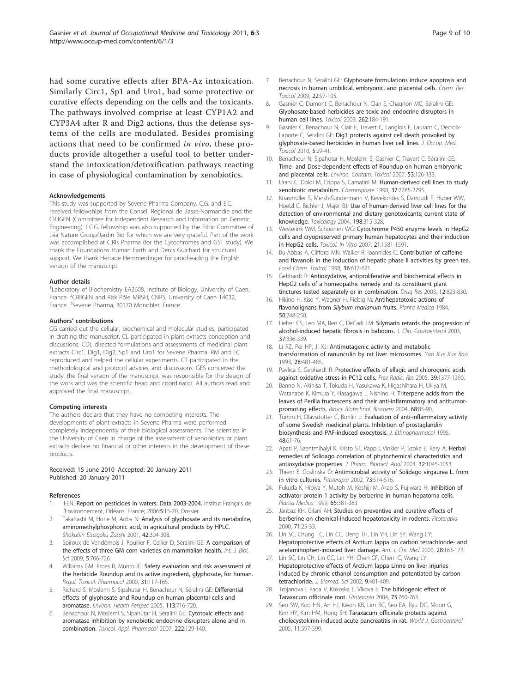<span id="page-8-0"></span>had some curative effects after BPA-Az intoxication. Similarly Circ1, Sp1 and Uro1, had some protective or curative effects depending on the cells and the toxicants. The pathways involved comprise at least CYP1A2 and CYP3A4 after R and Dig2 actions, thus the defense systems of the cells are modulated. Besides promising actions that need to be confirmed in vivo, these products provide altogether a useful tool to better understand the intoxication/detoxification pathways reacting in case of physiological contamination by xenobiotics.

#### Acknowledgements

This study was supported by Sevene Pharma Company. C.G. and E.C. received fellowships from the Conseil Regional de Basse-Normandie and the CRIIGEN (Committee for Independent Research and Information on Genetic Engineering). l C.G. fellowship was also supported by the Ethic Committee of Léa Nature Group/Jardin Bio for which we are very grateful. Part of the work was accomplished at C.Ris Pharma (for the Cytochromes and GST study). We thank the Foundations Human Earth and Denis Guichard for structural support. We thank Herrade Hemmerdinger for proofreading the English version of the manuscript.

#### Author details

<sup>1</sup>Laboratory of Biochemistry EA2608, Institute of Biology, University of Caen, France. <sup>2</sup>CRIIGEN and Risk Pôle MRSH, CNRS, University of Caen 14032, France. <sup>3</sup>Sevene Pharma, 30170 Monoblet, France.

#### Authors' contributions

CG carried out the cellular, biochemical and molecular studies, participated in drafting the manuscript. CL participated in plant extracts conception and discussions. CDL directed formulations and assessments of medicinal plant extracts Circ1, Dig1, Dig2, Sp1 and Uro1 for Sevene Pharma. RM and EC reproduced and helped the cellular experiments. CT participated in the methodological and protocol advices, and discussions. GES conceived the study, the final version of the manuscript, was responsible for the design of the work and was the scientific head and coordinator. All authors read and approved the final manuscript.

#### Competing interests

The authors declare that they have no competing interests. The developments of plant extracts in Sevene Pharma were performed completely independently of their biological assessments. The scientists in the University of Caen in charge of the assessment of xenobiotics or plant extracts declare no financial or other interests in the development of these products.

#### Received: 15 June 2010 Accepted: 20 January 2011 Published: 20 January 2011

#### References

- 1. IFEN: Report on pesticides in waters: Data 2003-2004. Institut Français de l'Environnement, Orléans, France; 2006:5:15-20, Dossier.
- 2. Takahashi M, Horie M, Aoba N: [Analysis of glyphosate and its metabolite,](http://www.ncbi.nlm.nih.gov/pubmed/11775355?dopt=Abstract) [aminomethylphosphonic acid, in agricultural products by HPLC.](http://www.ncbi.nlm.nih.gov/pubmed/11775355?dopt=Abstract) Shokuhin Eiseigaku Zasshi 2001, 42:304-308.
- Spiroux de Vendômois J, Roullier F, Cellier D, Séralini GE: [A comparison of](http://www.ncbi.nlm.nih.gov/pubmed/20011136?dopt=Abstract) [the effects of three GM corn varieties on mammalian health.](http://www.ncbi.nlm.nih.gov/pubmed/20011136?dopt=Abstract) Int. J. Biol. Sci 2009, 5:706-726.
- 4. Williams GM, Kroes R, Munro IC: [Safety evaluation and risk assessment of](http://www.ncbi.nlm.nih.gov/pubmed/10854122?dopt=Abstract) [the herbicide Roundup and its active ingredient, glyphosate, for human.](http://www.ncbi.nlm.nih.gov/pubmed/10854122?dopt=Abstract) Regul. Toxicol. Pharmacol 2000, 31:117-165.
- Richard S, Moslemi S, Sipahutar H, Benachour N, Séralini GE: Differential effects of glyphosate and Roundup on human placental cells and aromatase. Environ. Health Perspec 2005, 113:716-720.
- 6. Benachour N, Moslemi S, Sipahutar H, Séralini GE: [Cytotoxic effects and](http://www.ncbi.nlm.nih.gov/pubmed/17599374?dopt=Abstract) [aromatase inhibition by xenobiotic endocrine disrupters alone and in](http://www.ncbi.nlm.nih.gov/pubmed/17599374?dopt=Abstract) [combination.](http://www.ncbi.nlm.nih.gov/pubmed/17599374?dopt=Abstract) Toxicol. Appl. Pharmacol 2007, 222:129-140.
- 8. Gasnier C, Dumont C, Benachour N, Clair E, Chagnon MC, Séralini GE: Glyphosate-based herbicides are toxic and endocrine disruptors in human cell lines. Toxicol 2009, 262:184-191.
- Gasnier C, Benachour N, Clair E, Travert C, Langlois F, Laurant C, Decroix-Laporte C, Séralini GE: [Dig1 protects against cell death provoked by](http://www.ncbi.nlm.nih.gov/pubmed/20979644?dopt=Abstract) [glyphosate-based herbicides in human liver cell lines.](http://www.ncbi.nlm.nih.gov/pubmed/20979644?dopt=Abstract) J. Occup. Med. Toxicol 2010, 5:29-41.
- 10. Benachour N, Sipahutar H, Moslemi S, Gasnier C, Travert C, Séralini GE: Time- and Dose-dependent effects of Roundup on human embryonic and placental cells. Environ. Contam. Toxicol 2007, 53:126-133.
- 11. Urani C, Doldi M, Crippa S, Camatini M: [Human-derived cell lines to study](http://www.ncbi.nlm.nih.gov/pubmed/9839400?dopt=Abstract) [xenobiotic metabolism.](http://www.ncbi.nlm.nih.gov/pubmed/9839400?dopt=Abstract) Chemosphere 1998, 37:2785-2795.
- 12. Knasmüller S, Mersh-Sundermann V, Kevekordes S, Darroudi F, Huber WW, Hoelzl C, Bichler J, Majer BJ: [Use of human-derived liver cell lines for the](http://www.ncbi.nlm.nih.gov/pubmed/15138058?dopt=Abstract) [detection of environmental and dietary genotoxicants; current state of](http://www.ncbi.nlm.nih.gov/pubmed/15138058?dopt=Abstract) [knowledge.](http://www.ncbi.nlm.nih.gov/pubmed/15138058?dopt=Abstract) Toxicology 2004, 198:315-328.
- 13. Westerink WM, Schoonen WG: [Cytochrome P450 enzyme levels in HepG2](http://www.ncbi.nlm.nih.gov/pubmed/17637504?dopt=Abstract) [cells and cryopreserved primary human hepatocytes and their induction](http://www.ncbi.nlm.nih.gov/pubmed/17637504?dopt=Abstract) [in HepG2 cells.](http://www.ncbi.nlm.nih.gov/pubmed/17637504?dopt=Abstract) Toxicol. In Vitro 2007, 21:1581-1591.
- 14. Bu-Abbas A, Clifford MN, Walker R, Ioannides C: [Contribution of caffeine](http://www.ncbi.nlm.nih.gov/pubmed/9734711?dopt=Abstract) [and flavanols in the induction of hepatic phase II activities by green tea.](http://www.ncbi.nlm.nih.gov/pubmed/9734711?dopt=Abstract) Food Chem. Toxicol 1998, 36:617-621.
- 15. Gebhardt R: Antioxydative, antiproliferative and biochemical effects in HepG2 cells of a homeopathic remedy and its constituent plant tinctures tested separately or in combination. Drug Res 2003, 12:823-830.
- 16. Hikino H, Kiso Y, Wagner H, Fiebig M: [Antihepatotoxic actions of](http://www.ncbi.nlm.nih.gov/pubmed/6091165?dopt=Abstract) [flavonolignans from](http://www.ncbi.nlm.nih.gov/pubmed/6091165?dopt=Abstract) Silybum marianum fruits. Planta Medica 1984, 50:248-250.
- 17. Lieber CS, Leo MA, Ren C, DeCarli LM: [Silymarin retards the progression of](http://www.ncbi.nlm.nih.gov/pubmed/14506392?dopt=Abstract) [alcohol-induced hepatic fibrosis in baboons.](http://www.ncbi.nlm.nih.gov/pubmed/14506392?dopt=Abstract) J. Clin. Gastroenterol 2003, 37:336-339.
- 18. Li RZ, Pei HP, Ji XJ: [Antimutagenic activity and metabolic](http://www.ncbi.nlm.nih.gov/pubmed/8285045?dopt=Abstract) [transformation of ranunculin by rat liver microsomes.](http://www.ncbi.nlm.nih.gov/pubmed/8285045?dopt=Abstract) Yao Xue Xue Bao 1993, 28:481-485.
- 19. Pavlica S, Gebhardt R: [Protective effects of ellagic and chlorogenic acids](http://www.ncbi.nlm.nih.gov/pubmed/16298868?dopt=Abstract) [against oxidative stress in PC12 cells.](http://www.ncbi.nlm.nih.gov/pubmed/16298868?dopt=Abstract) Free Radic. Res 2005, 39:1377-1390.
- 20. Banno N, Akihisa T, Tokuda H, Yasukawa K, Higashihara H, Ukiya M, Watanabe K, Kimura Y, Hasagawa J, Nishino H: [Triterpene acids from the](http://www.ncbi.nlm.nih.gov/pubmed/14745168?dopt=Abstract) [leaves of Perilla fructescens and their anti-inflammatory and antitumor](http://www.ncbi.nlm.nih.gov/pubmed/14745168?dopt=Abstract)[promoting effects.](http://www.ncbi.nlm.nih.gov/pubmed/14745168?dopt=Abstract) Biosci. Biotechnol. Biochem 2004, 68:85-90.
- 21. Tunon H, Olavsdotter C, Bohlin L: [Evaluation of anti-inflammatory activity](http://www.ncbi.nlm.nih.gov/pubmed/8583796?dopt=Abstract) [of some Swedish medicinal plants. Inhibition of prostaglandin](http://www.ncbi.nlm.nih.gov/pubmed/8583796?dopt=Abstract) [biosynthesis and PAF-induced exocytosis.](http://www.ncbi.nlm.nih.gov/pubmed/8583796?dopt=Abstract) J. Ethnopharmacol 1995, 48:61-76.
- 22. Apati P, Szentmihalyi K, Kristo ST, Papp I, Vinkler P, Szoke E, Kery A: [Herbal](http://www.ncbi.nlm.nih.gov/pubmed/12899992?dopt=Abstract) [remedies of Solidago correlation of phytochemical characteristics and](http://www.ncbi.nlm.nih.gov/pubmed/12899992?dopt=Abstract) [antioxydative properties.](http://www.ncbi.nlm.nih.gov/pubmed/12899992?dopt=Abstract) J. Pharm. Biomed. Anal 2003, 32:1045-1053.
- 23. Thiem B, Goslinska O: [Antimicrobial activity of Solidago virgaurea L. from](http://www.ncbi.nlm.nih.gov/pubmed/12385877?dopt=Abstract) [in vitro cultures.](http://www.ncbi.nlm.nih.gov/pubmed/12385877?dopt=Abstract) Fitoterapia 2002, 73:514-516.
- 24. Fukuda K, Hibiya Y, Mutoh M, Koshiji M, Akao S, Fujiwara H: [Inhibition of](http://www.ncbi.nlm.nih.gov/pubmed/10364850?dopt=Abstract) [activator protein 1 activity by berberine in human hepatoma cells.](http://www.ncbi.nlm.nih.gov/pubmed/10364850?dopt=Abstract) Planta Medica 1999, 65:381-383.
- 25. Janbaz KH, Gilani AH: [Studies on preventive and curative effects of](http://www.ncbi.nlm.nih.gov/pubmed/11449466?dopt=Abstract) [berberine on chemical-induced hepatotoxicity in rodents.](http://www.ncbi.nlm.nih.gov/pubmed/11449466?dopt=Abstract) Fitoterapia 2000, 71:25-33.
- 26. Lin SC, Chung TC, Lin CC, Ueng TH, Lin YH, Lin SY, Wang LY: Hepatoprotective effects of Arctium lappa on carbon tetrachloride- and acetaminophen-induced liver damage. Am. J. Chi. Med 2000, 28:163-173.
- 27. Lin SC, Lin CH, Lin CC, Lin YH, Chen CF, Chen IC, Wang LY: [Hepatoprotective effects of Arctium lappa Linne on liver injuries](http://www.ncbi.nlm.nih.gov/pubmed/12218354?dopt=Abstract) [induced by chronic ethanol consumption and potentiated by carbon](http://www.ncbi.nlm.nih.gov/pubmed/12218354?dopt=Abstract) [tetrachloride.](http://www.ncbi.nlm.nih.gov/pubmed/12218354?dopt=Abstract) J. Biomed. Sci 2002, 9:401-409.
- 28. Trojanova I, Rada V, Kokoska L, Vlkova E: [The bifidogenic effect of](http://www.ncbi.nlm.nih.gov/pubmed/15567259?dopt=Abstract) [Taraxacum officinale root.](http://www.ncbi.nlm.nih.gov/pubmed/15567259?dopt=Abstract) Fitoterapia 2004, 75:760-763.
- Seo SW, Koo HN, An HJ, Kwon KB, Lim BC, Seo EA, Ryu DG, Moon G, Kim HY, Kim HM, Hong SH: [Taraxacum officinale protects against](http://www.ncbi.nlm.nih.gov/pubmed/15641154?dopt=Abstract) [cholecystokinin-induced acute pancreatitis in rat.](http://www.ncbi.nlm.nih.gov/pubmed/15641154?dopt=Abstract) World J. Gastroenterol 2005, 11:597-599.